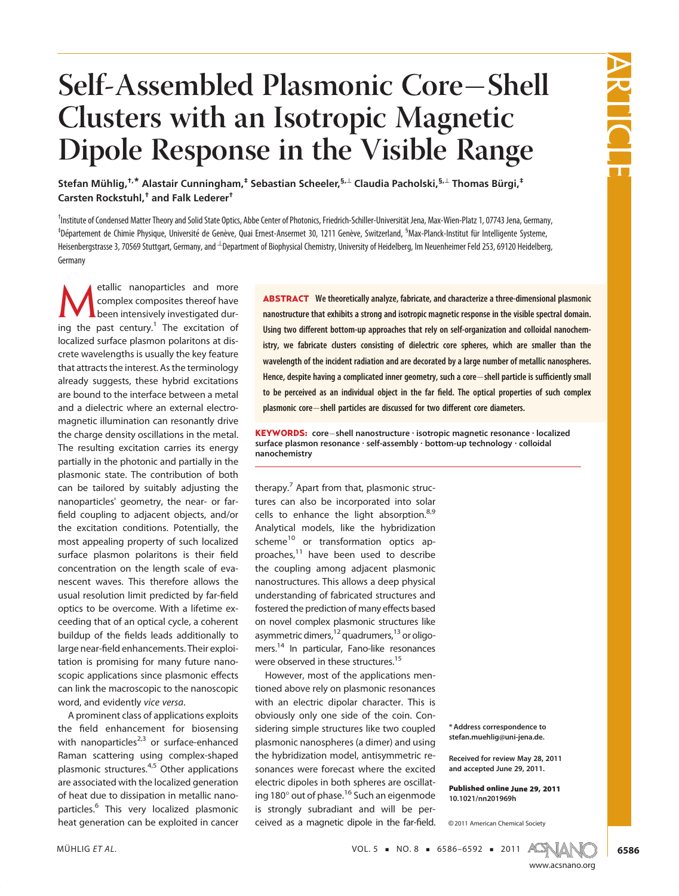# Self-Assembled Plasmonic Core–Shell Clusters with an Isotropic Magnetic Dipole Response in the Visible Range

Stefan Mühlig,<sup>†,\*</sup> Alastair Cunningham,<sup>‡</sup> Sebastian Scheeler,<sup>§,⊥</sup> Claudia Pacholski,<sup>§,⊥</sup> Thomas Bürgi,<sup>‡</sup> Carsten Rockstuhl,† and Falk Lederer†

<sup>†</sup>Institute of Condensed Matter Theory and Solid State Optics, Abbe Center of Photonics, Friedrich-Schiller-Universität Jena, Max-Wien-Platz 1, 07743 Jena, Germany, ‡ Departement de Chimie Physique, Universite de Genève, Quai Ernest-Ansermet 30, 1211 Genève, Switzerland, § Max-Planck-Institut für Intelligente Systeme, Heisenbergstrasse 3, 70569 Stuttgart, Germany, and  $^\perp$ Department of Biophysical Chemistry, University of Heidelberg, Im Neuenheimer Feld 253, 69120 Heidelberg, Germany

etallic nanoparticles and more<br>
been intensively investigated dur-<br>
intensively investigated dur-<br>
intensively The overtation of complex composites thereof have ing the past century.<sup>1</sup> The excitation of localized surface plasmon polaritons at discrete wavelengths is usually the key feature that attracts the interest. As the terminology already suggests, these hybrid excitations are bound to the interface between a metal and a dielectric where an external electromagnetic illumination can resonantly drive the charge density oscillations in the metal. The resulting excitation carries its energy partially in the photonic and partially in the plasmonic state. The contribution of both can be tailored by suitably adjusting the nanoparticles' geometry, the near- or farfield coupling to adjacent objects, and/or the excitation conditions. Potentially, the most appealing property of such localized surface plasmon polaritons is their field concentration on the length scale of evanescent waves. This therefore allows the usual resolution limit predicted by far-field optics to be overcome. With a lifetime exceeding that of an optical cycle, a coherent buildup of the fields leads additionally to large near-field enhancements. Their exploitation is promising for many future nanoscopic applications since plasmonic effects can link the macroscopic to the nanoscopic word, and evidently vice versa.

A prominent class of applications exploits the field enhancement for biosensing with nanoparticles $^{2,3}$  or surface-enhanced Raman scattering using complex-shaped plasmonic structures.<sup>4,5</sup> Other applications are associated with the localized generation of heat due to dissipation in metallic nanoparticles.<sup>6</sup> This very localized plasmonic heat generation can be exploited in cancer

ABSTRACT We theoretically analyze, fabricate, and characterize a three-dimensional plasmonic nanostructure that exhibits a strong and isotropic magnetic response in the visible spectral domain. Using two different bottom-up approaches that rely on self-organization and colloidal nanochemistry, we fabricate clusters consisting of dielectric core spheres, which are smaller than the wavelength of the incident radiation and are decorated by a large number of metallic nanospheres. Hence, despite having a complicated inner geometry, such a core-shell particle is sufficiently small to be perceived as an individual object in the far field. The optical properties of such complex plasmonic core-shell particles are discussed for two different core diameters.

KEYWORDS: core-shell nanostructure . isotropic magnetic resonance . localized surface plasmon resonance · self-assembly · bottom-up technology · colloidal nanochemistry

therapy. $<sup>7</sup>$  Apart from that, plasmonic struc-</sup> tures can also be incorporated into solar cells to enhance the light absorption.<sup>8,9</sup> Analytical models, like the hybridization scheme<sup>10</sup> or transformation optics approaches, $11$  have been used to describe the coupling among adjacent plasmonic nanostructures. This allows a deep physical understanding of fabricated structures and fostered the prediction of many effects based on novel complex plasmonic structures like asymmetric dimers,<sup>12</sup> quadrumers,<sup>13</sup> or oligomers.14 In particular, Fano-like resonances were observed in these structures.<sup>15</sup>

However, most of the applications mentioned above rely on plasmonic resonances with an electric dipolar character. This is obviously only one side of the coin. Considering simple structures like two coupled plasmonic nanospheres (a dimer) and using the hybridization model, antisymmetric resonances were forecast where the excited electric dipoles in both spheres are oscillating 180° out of phase.<sup>16</sup> Such an eigenmode is strongly subradiant and will be perceived as a magnetic dipole in the far-field.

\* Address correspondence to stefan.muehlig@uni-jena.de.

Received for review May 28, 2011 and accepted June 29, 2011.

Published online June 29, 2011 10.1021/nn201969h

<sup>C</sup> 2011 American Chemical Society

 $MÜHLIG E T AL.$  VOL. 5 = NO. 8 = 6586–6592 = 2011 AC A



www.acsnano.org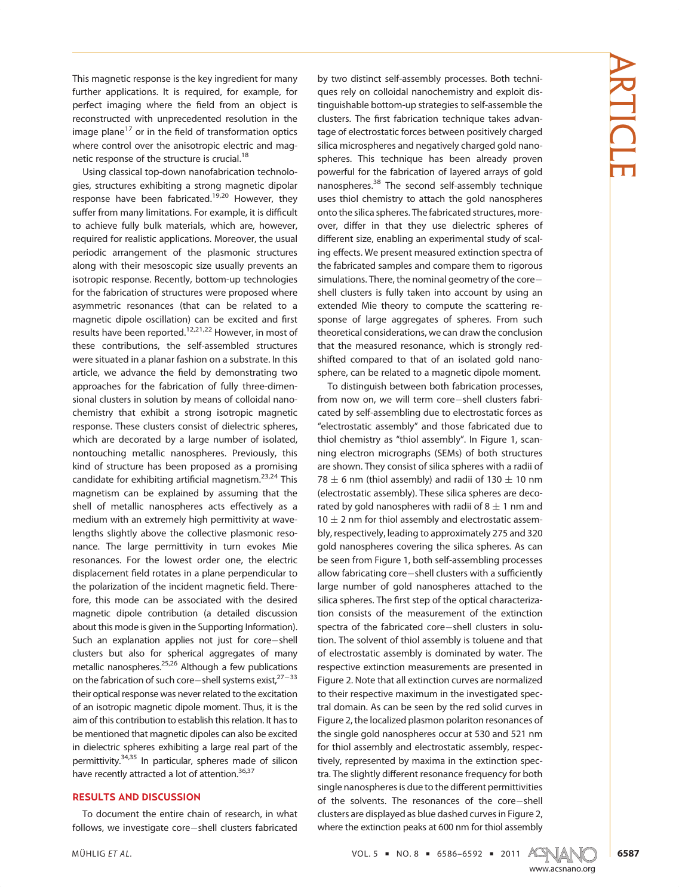This magnetic response is the key ingredient for many further applications. It is required, for example, for perfect imaging where the field from an object is reconstructed with unprecedented resolution in the image plane<sup>17</sup> or in the field of transformation optics where control over the anisotropic electric and magnetic response of the structure is crucial.<sup>18</sup>

Using classical top-down nanofabrication technologies, structures exhibiting a strong magnetic dipolar response have been fabricated.<sup>19,20</sup> However, they suffer from many limitations. For example, it is difficult to achieve fully bulk materials, which are, however, required for realistic applications. Moreover, the usual periodic arrangement of the plasmonic structures along with their mesoscopic size usually prevents an isotropic response. Recently, bottom-up technologies for the fabrication of structures were proposed where asymmetric resonances (that can be related to a magnetic dipole oscillation) can be excited and first results have been reported.<sup>12,21,22</sup> However, in most of these contributions, the self-assembled structures were situated in a planar fashion on a substrate. In this article, we advance the field by demonstrating two approaches for the fabrication of fully three-dimensional clusters in solution by means of colloidal nanochemistry that exhibit a strong isotropic magnetic response. These clusters consist of dielectric spheres, which are decorated by a large number of isolated, nontouching metallic nanospheres. Previously, this kind of structure has been proposed as a promising candidate for exhibiting artificial magnetism.<sup>23,24</sup> This magnetism can be explained by assuming that the shell of metallic nanospheres acts effectively as a medium with an extremely high permittivity at wavelengths slightly above the collective plasmonic resonance. The large permittivity in turn evokes Mie resonances. For the lowest order one, the electric displacement field rotates in a plane perpendicular to the polarization of the incident magnetic field. Therefore, this mode can be associated with the desired magnetic dipole contribution (a detailed discussion about this mode is given in the Supporting Information). Such an explanation applies not just for core-shell clusters but also for spherical aggregates of many metallic nanospheres.<sup>25,26</sup> Although a few publications on the fabrication of such core-shell systems exist, $27-33$ their optical response was never related to the excitation of an isotropic magnetic dipole moment. Thus, it is the aim of this contribution to establish this relation. It has to be mentioned that magnetic dipoles can also be excited in dielectric spheres exhibiting a large real part of the permittivity.34,35 In particular, spheres made of silicon have recently attracted a lot of attention.<sup>36,37</sup>

### RESULTS AND DISCUSSION

To document the entire chain of research, in what follows, we investigate core-shell clusters fabricated

by two distinct self-assembly processes. Both techniques rely on colloidal nanochemistry and exploit distinguishable bottom-up strategies to self-assemble the clusters. The first fabrication technique takes advantage of electrostatic forces between positively charged silica microspheres and negatively charged gold nanospheres. This technique has been already proven powerful for the fabrication of layered arrays of gold nanospheres.<sup>38</sup> The second self-assembly technique uses thiol chemistry to attach the gold nanospheres onto the silica spheres. The fabricated structures, moreover, differ in that they use dielectric spheres of different size, enabling an experimental study of scaling effects. We present measured extinction spectra of the fabricated samples and compare them to rigorous simulations. There, the nominal geometry of the core shell clusters is fully taken into account by using an extended Mie theory to compute the scattering response of large aggregates of spheres. From such theoretical considerations, we can draw the conclusion that the measured resonance, which is strongly redshifted compared to that of an isolated gold nanosphere, can be related to a magnetic dipole moment.

To distinguish between both fabrication processes, from now on, we will term core-shell clusters fabricated by self-assembling due to electrostatic forces as "electrostatic assembly" and those fabricated due to thiol chemistry as "thiol assembly". In Figure 1, scanning electron micrographs (SEMs) of both structures are shown. They consist of silica spheres with a radii of 78  $\pm$  6 nm (thiol assembly) and radii of 130  $\pm$  10 nm (electrostatic assembly). These silica spheres are decorated by gold nanospheres with radii of  $8 \pm 1$  nm and  $10 \pm 2$  nm for thiol assembly and electrostatic assembly, respectively, leading to approximately 275 and 320 gold nanospheres covering the silica spheres. As can be seen from Figure 1, both self-assembling processes allow fabricating core-shell clusters with a sufficiently large number of gold nanospheres attached to the silica spheres. The first step of the optical characterization consists of the measurement of the extinction spectra of the fabricated core-shell clusters in solution. The solvent of thiol assembly is toluene and that of electrostatic assembly is dominated by water. The respective extinction measurements are presented in Figure 2. Note that all extinction curves are normalized to their respective maximum in the investigated spectral domain. As can be seen by the red solid curves in Figure 2, the localized plasmon polariton resonances of the single gold nanospheres occur at 530 and 521 nm for thiol assembly and electrostatic assembly, respectively, represented by maxima in the extinction spectra. The slightly different resonance frequency for both single nanospheres is due to the different permittivities of the solvents. The resonances of the core-shell clusters are displayed as blue dashed curves in Figure 2, where the extinction peaks at 600 nm for thiol assembly



www.accom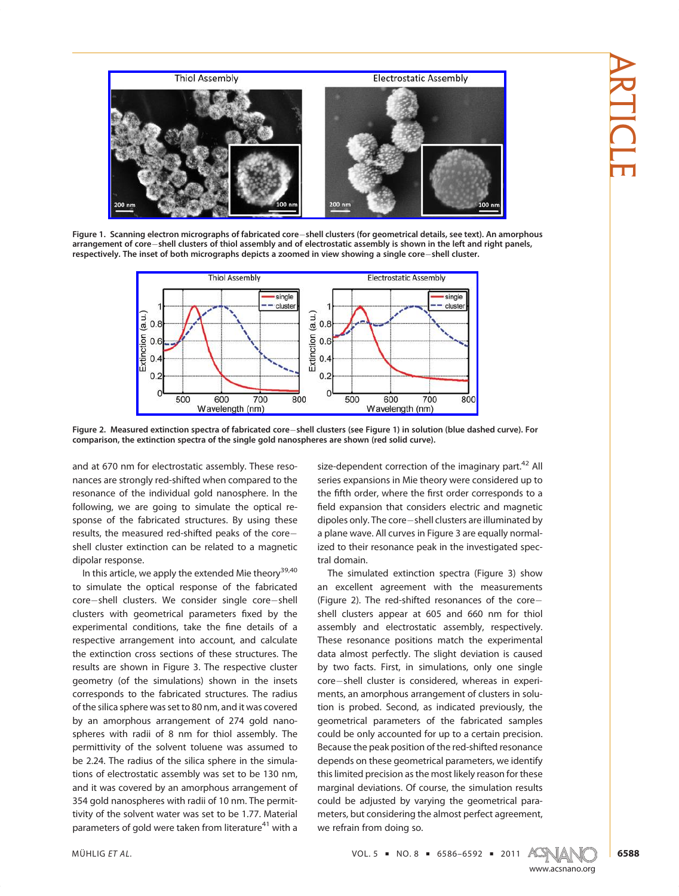

Figure 1. Scanning electron micrographs of fabricated core-shell clusters (for geometrical details, see text). An amorphous arrangement of core-shell clusters of thiol assembly and of electrostatic assembly is shown in the left and right panels, respectively. The inset of both micrographs depicts a zoomed in view showing a single core-shell cluster.



Figure 2. Measured extinction spectra of fabricated core-shell clusters (see Figure 1) in solution (blue dashed curve). For comparison, the extinction spectra of the single gold nanospheres are shown (red solid curve).

and at 670 nm for electrostatic assembly. These resonances are strongly red-shifted when compared to the resonance of the individual gold nanosphere. In the following, we are going to simulate the optical response of the fabricated structures. By using these results, the measured red-shifted peaks of the core shell cluster extinction can be related to a magnetic dipolar response.

In this article, we apply the extended Mie theory<sup>39,40</sup> to simulate the optical response of the fabricated core-shell clusters. We consider single core-shell clusters with geometrical parameters fixed by the experimental conditions, take the fine details of a respective arrangement into account, and calculate the extinction cross sections of these structures. The results are shown in Figure 3. The respective cluster geometry (of the simulations) shown in the insets corresponds to the fabricated structures. The radius of the silica sphere was set to 80 nm, and it was covered by an amorphous arrangement of 274 gold nanospheres with radii of 8 nm for thiol assembly. The permittivity of the solvent toluene was assumed to be 2.24. The radius of the silica sphere in the simulations of electrostatic assembly was set to be 130 nm, and it was covered by an amorphous arrangement of 354 gold nanospheres with radii of 10 nm. The permittivity of the solvent water was set to be 1.77. Material parameters of gold were taken from literature<sup>41</sup> with a size-dependent correction of the imaginary part.<sup>42</sup> All series expansions in Mie theory were considered up to the fifth order, where the first order corresponds to a field expansion that considers electric and magnetic dipoles only. The core-shell clusters are illuminated by a plane wave. All curves in Figure 3 are equally normalized to their resonance peak in the investigated spectral domain.

The simulated extinction spectra (Figure 3) show an excellent agreement with the measurements (Figure 2). The red-shifted resonances of the core shell clusters appear at 605 and 660 nm for thiol assembly and electrostatic assembly, respectively. These resonance positions match the experimental data almost perfectly. The slight deviation is caused by two facts. First, in simulations, only one single core-shell cluster is considered, whereas in experiments, an amorphous arrangement of clusters in solution is probed. Second, as indicated previously, the geometrical parameters of the fabricated samples could be only accounted for up to a certain precision. Because the peak position of the red-shifted resonance depends on these geometrical parameters, we identify this limited precision as the most likely reason for these marginal deviations. Of course, the simulation results could be adjusted by varying the geometrical parameters, but considering the almost perfect agreement, we refrain from doing so.



www.accom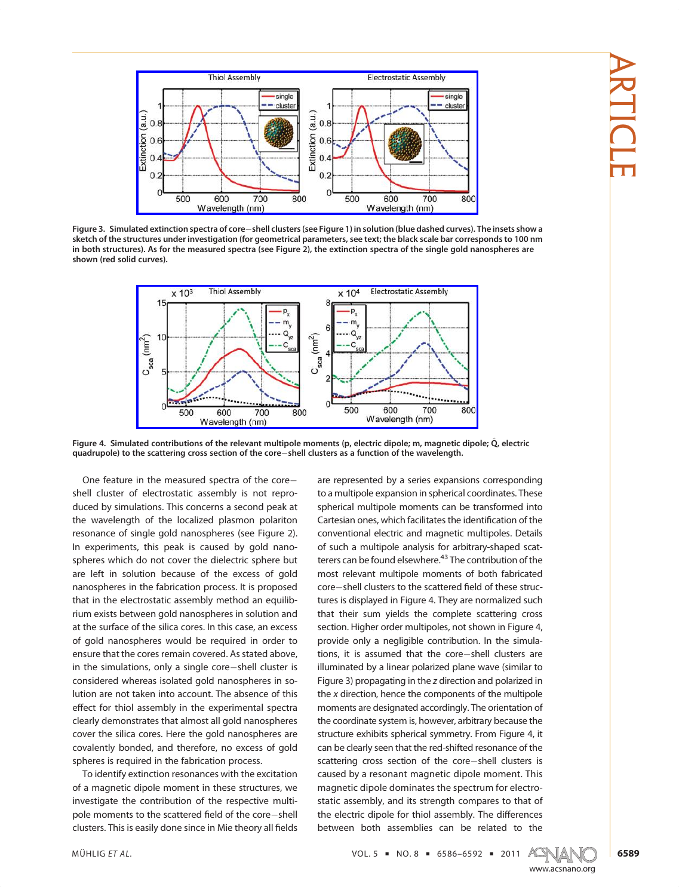

Figure 3. Simulated extinction spectra of core-shell clusters (see Figure 1) in solution (blue dashed curves). The insets show a sketch of the structures under investigation (for geometrical parameters, see text; the black scale bar corresponds to 100 nm in both structures). As for the measured spectra (see Figure 2), the extinction spectra of the single gold nanospheres are shown (red solid curves).



Figure 4. Simulated contributions of the relevant multipole moments (p, electric dipole; m, magnetic dipole; Q, electric ^ quadrupole) to the scattering cross section of the core-shell clusters as a function of the wavelength.

One feature in the measured spectra of the core shell cluster of electrostatic assembly is not reproduced by simulations. This concerns a second peak at the wavelength of the localized plasmon polariton resonance of single gold nanospheres (see Figure 2). In experiments, this peak is caused by gold nanospheres which do not cover the dielectric sphere but are left in solution because of the excess of gold nanospheres in the fabrication process. It is proposed that in the electrostatic assembly method an equilibrium exists between gold nanospheres in solution and at the surface of the silica cores. In this case, an excess of gold nanospheres would be required in order to ensure that the cores remain covered. As stated above, in the simulations, only a single core $-$ shell cluster is considered whereas isolated gold nanospheres in solution are not taken into account. The absence of this effect for thiol assembly in the experimental spectra clearly demonstrates that almost all gold nanospheres cover the silica cores. Here the gold nanospheres are covalently bonded, and therefore, no excess of gold spheres is required in the fabrication process.

To identify extinction resonances with the excitation of a magnetic dipole moment in these structures, we investigate the contribution of the respective multipole moments to the scattered field of the core-shell clusters. This is easily done since in Mie theory all fields are represented by a series expansions corresponding to a multipole expansion in spherical coordinates. These spherical multipole moments can be transformed into Cartesian ones, which facilitates the identification of the conventional electric and magnetic multipoles. Details of such a multipole analysis for arbitrary-shaped scatterers can be found elsewhere.<sup>43</sup> The contribution of the most relevant multipole moments of both fabricated core-shell clusters to the scattered field of these structures is displayed in Figure 4. They are normalized such that their sum yields the complete scattering cross section. Higher order multipoles, not shown in Figure 4, provide only a negligible contribution. In the simulations, it is assumed that the core-shell clusters are illuminated by a linear polarized plane wave (similar to Figure 3) propagating in the z direction and polarized in the x direction, hence the components of the multipole moments are designated accordingly. The orientation of the coordinate system is, however, arbitrary because the structure exhibits spherical symmetry. From Figure 4, it can be clearly seen that the red-shifted resonance of the scattering cross section of the core-shell clusters is caused by a resonant magnetic dipole moment. This magnetic dipole dominates the spectrum for electrostatic assembly, and its strength compares to that of the electric dipole for thiol assembly. The differences between both assemblies can be related to the

MÜHLIG ET AL.  $\text{NOL.5} = \text{NO.8} = 6586-6592 = 2011 \ \text{AU}$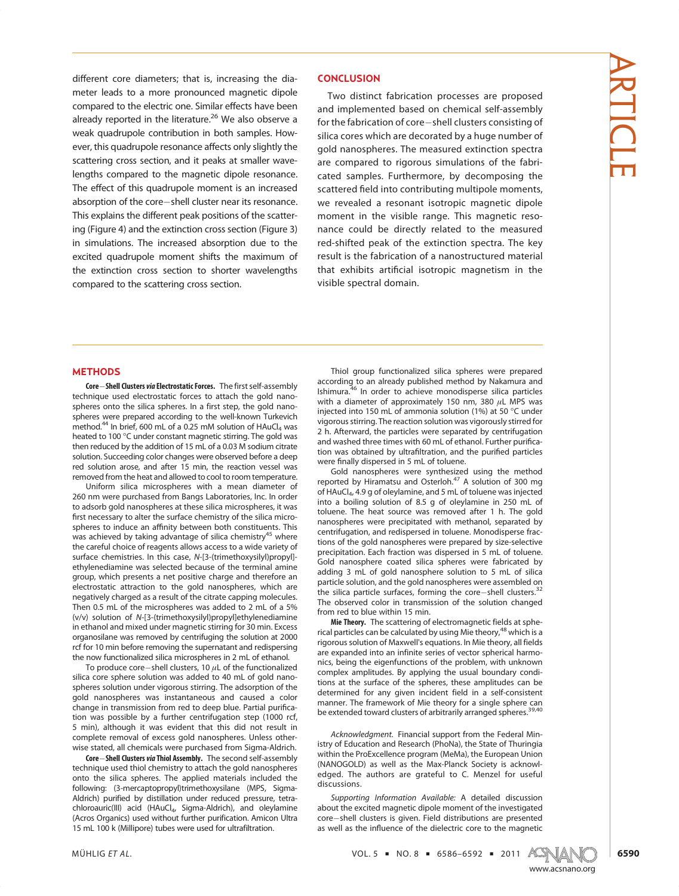different core diameters; that is, increasing the diameter leads to a more pronounced magnetic dipole compared to the electric one. Similar effects have been already reported in the literature. $26$  We also observe a weak quadrupole contribution in both samples. However, this quadrupole resonance affects only slightly the scattering cross section, and it peaks at smaller wavelengths compared to the magnetic dipole resonance. The effect of this quadrupole moment is an increased absorption of the core-shell cluster near its resonance. This explains the different peak positions of the scattering (Figure 4) and the extinction cross section (Figure 3) in simulations. The increased absorption due to the excited quadrupole moment shifts the maximum of the extinction cross section to shorter wavelengths compared to the scattering cross section.

## **CONCLUSION**

Two distinct fabrication processes are proposed and implemented based on chemical self-assembly for the fabrication of core-shell clusters consisting of silica cores which are decorated by a huge number of gold nanospheres. The measured extinction spectra are compared to rigorous simulations of the fabricated samples. Furthermore, by decomposing the scattered field into contributing multipole moments, we revealed a resonant isotropic magnetic dipole moment in the visible range. This magnetic resonance could be directly related to the measured red-shifted peak of the extinction spectra. The key result is the fabrication of a nanostructured material that exhibits artificial isotropic magnetism in the visible spectral domain.

#### **METHODS**

Core-Shell Clusters via Electrostatic Forces. The first self-assembly technique used electrostatic forces to attach the gold nanospheres onto the silica spheres. In a first step, the gold nanospheres were prepared according to the well-known Turkevich method.<sup>44</sup> In brief, 600 mL of a 0.25 mM solution of  $HAuCl_4$  was heated to 100 °C under constant magnetic stirring. The gold was then reduced by the addition of 15 mL of a 0.03 M sodium citrate solution. Succeeding color changes were observed before a deep red solution arose, and after 15 min, the reaction vessel was removed from the heat and allowed to cool to room temperature.

Uniform silica microspheres with a mean diameter of 260 nm were purchased from Bangs Laboratories, Inc. In order to adsorb gold nanospheres at these silica microspheres, it was first necessary to alter the surface chemistry of the silica microspheres to induce an affinity between both constituents. This was achieved by taking advantage of silica chemistry<sup>45</sup> where the careful choice of reagents allows access to a wide variety of surface chemistries. In this case, N-[3-(trimethoxysilyl)propyl] ethylenediamine was selected because of the terminal amine group, which presents a net positive charge and therefore an electrostatic attraction to the gold nanospheres, which are negatively charged as a result of the citrate capping molecules. Then 0.5 mL of the microspheres was added to 2 mL of a 5% (v/v) solution of N-[3-(trimethoxysilyl)propyl]ethylenediamine in ethanol and mixed under magnetic stirring for 30 min. Excess organosilane was removed by centrifuging the solution at 2000 rcf for 10 min before removing the supernatant and redispersing the now functionalized silica microspheres in 2 mL of ethanol.

To produce core–shell clusters, 10  $\mu$ L of the functionalized silica core sphere solution was added to 40 mL of gold nanospheres solution under vigorous stirring. The adsorption of the gold nanospheres was instantaneous and caused a color change in transmission from red to deep blue. Partial purification was possible by a further centrifugation step (1000 rcf, 5 min), although it was evident that this did not result in complete removal of excess gold nanospheres. Unless otherwise stated, all chemicals were purchased from Sigma-Aldrich.

Core-Shell Clusters via Thiol Assembly. The second self-assembly technique used thiol chemistry to attach the gold nanospheres onto the silica spheres. The applied materials included the following: (3-mercaptopropyl)trimethoxysilane (MPS, Sigma-Aldrich) purified by distillation under reduced pressure, tetrachloroauric(III) acid (HAuCl<sub>4</sub>, Sigma-Aldrich), and oleylamine (Acros Organics) used without further purification. Amicon Ultra 15 mL 100 k (Millipore) tubes were used for ultrafiltration.

Thiol group functionalized silica spheres were prepared according to an already published method by Nakamura and Ishimura.<sup>46</sup> In order to achieve monodisperse silica particles with a diameter of approximately 150 nm, 380  $\mu$ L MPS was injected into 150 mL of ammonia solution (1%) at 50 °C under vigorous stirring. The reaction solution was vigorously stirred for 2 h. Afterward, the particles were separated by centrifugation and washed three times with 60 mL of ethanol. Further purification was obtained by ultrafiltration, and the purified particles were finally dispersed in 5 mL of toluene.

Gold nanospheres were synthesized using the method reported by Hiramatsu and Osterloh.<sup>47</sup> A solution of 300 mg of HAuCl<sub>4</sub>, 4.9 g of oleylamine, and 5 mL of toluene was injected into a boiling solution of 8.5 g of oleylamine in 250 mL of toluene. The heat source was removed after 1 h. The gold nanospheres were precipitated with methanol, separated by centrifugation, and redispersed in toluene. Monodisperse fractions of the gold nanospheres were prepared by size-selective precipitation. Each fraction was dispersed in 5 mL of toluene. Gold nanosphere coated silica spheres were fabricated by adding 3 mL of gold nanosphere solution to 5 mL of silica particle solution, and the gold nanospheres were assembled on the silica particle surfaces, forming the core-shell clusters. $3$ The observed color in transmission of the solution changed from red to blue within 15 min.

Mie Theory. The scattering of electromagnetic fields at spherical particles can be calculated by using Mie theory,<sup>48</sup> which is a rigorous solution of Maxwell's equations. In Mie theory, all fields are expanded into an infinite series of vector spherical harmonics, being the eigenfunctions of the problem, with unknown complex amplitudes. By applying the usual boundary conditions at the surface of the spheres, these amplitudes can be determined for any given incident field in a self-consistent manner. The framework of Mie theory for a single sphere can<br>be extended toward clusters of arbitrarily arranged spheres.<sup>39,40</sup>

Acknowledgment. Financial support from the Federal Ministry of Education and Research (PhoNa), the State of Thuringia within the ProExcellence program (MeMa), the European Union (NANOGOLD) as well as the Max-Planck Society is acknowledged. The authors are grateful to C. Menzel for useful discussions.

Supporting Information Available: A detailed discussion about the excited magnetic dipole moment of the investigated core-shell clusters is given. Field distributions are presented as well as the influence of the dielectric core to the magnetic

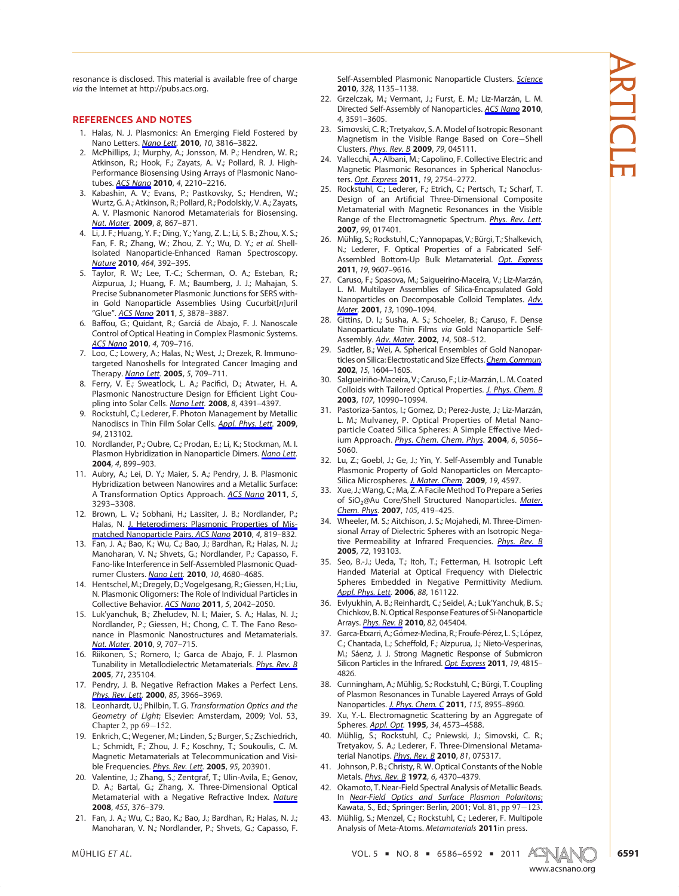resonance is disclosed. This material is available free of charge via the Internet at http://pubs.acs.org.

#### REFERENCES AND NOTES

- 1. Halas, N. J. Plasmonics: An Emerging Field Fostered by Nano Letters. Nano Lett. 2010, 10, 3816–3822.
- 2. McPhillips, J.; Murphy, A.; Jonsson, M. P.; Hendren, W. R.; Atkinson, R.; Hook, F.; Zayats, A. V.; Pollard, R. J. High-Performance Biosensing Using Arrays of Plasmonic Nanotubes. ACS Nano 2010, 4, 2210-2216.
- 3. Kabashin, A. V.; Evans, P.; Pastkovsky, S.; Hendren, W.; Wurtz, G. A.; Atkinson, R.; Pollard, R.; Podolskiy, V. A.; Zayats, A. V. Plasmonic Nanorod Metamaterials for Biosensing. Nat. Mater. 2009, 8, 867-871.
- 4. Li, J. F.; Huang, Y. F.; Ding, Y.; Yang, Z. L.; Li, S. B.; Zhou, X. S.; Fan, F. R.; Zhang, W.; Zhou, Z. Y.; Wu, D. Y.; et al. Shell-Isolated Nanoparticle-Enhanced Raman Spectroscopy. Nature 2010, 464, 392-395.
- 5. Taylor, R. W.; Lee, T.-C.; Scherman, O. A.; Esteban, R.; Aizpurua, J.; Huang, F. M.; Baumberg, J. J.; Mahajan, S. Precise Subnanometer Plasmonic Junctions for SERS within Gold Nanoparticle Assemblies Using Cucurbit[n]uril "Glue". ACS Nano 2011, 5, 3878–3887.
- 6. Baffou, G.; Quidant, R.; Garciá de Abajo, F. J. Nanoscale Control of Optical Heating in Complex Plasmonic Systems. ACS Nano 2010, 4, 709–716.
- 7. Loo, C.; Lowery, A.; Halas, N.; West, J.; Drezek, R. Immunotargeted Nanoshells for Integrated Cancer Imaging and Therapy. *Nano Lett*. 2005, 5, 709-711.
- 8. Ferry, V. E.; Sweatlock, L. A.; Pacifici, D.; Atwater, H. A. Plasmonic Nanostructure Design for Efficient Light Coupling into Solar Cells. Nano Lett. 2008, 8, 4391-4397.
- 9. Rockstuhl, C.; Lederer, F. Photon Management by Metallic Nanodiscs in Thin Film Solar Cells. Appl. Phys. Lett. 2009, 94, 213102.
- 10. Nordlander, P.; Oubre, C.; Prodan, E.; Li, K.; Stockman, M. I. Plasmon Hybridization in Nanoparticle Dimers. Nano Lett. 2004, 4, 899–903.
- 11. Aubry, A.; Lei, D. Y.; Maier, S. A.; Pendry, J. B. Plasmonic Hybridization between Nanowires and a Metallic Surface: A Transformation Optics Approach. ACS Nano 2011, 5, 3293–3308.
- 12. Brown, L. V.; Sobhani, H.; Lassiter, J. B.; Nordlander, P.; Halas, N. J. Heterodimers: Plasmonic Properties of Mismatched Nanoparticle Pairs. ACS Nano 2010, 4, 819–832.
- 13. Fan, J. A.; Bao, K.; Wu, C.; Bao, J.; Bardhan, R.; Halas, N. J.; Manoharan, V. N.; Shvets, G.; Nordlander, P.; Capasso, F. Fano-like Interference in Self-Assembled Plasmonic Quadrumer Clusters. Nano Lett. 2010, 10, 4680–4685.
- 14. Hentschel, M.; Dregely, D.; Vogelgesang, R.; Giessen, H.; Liu, N. Plasmonic Oligomers: The Role of Individual Particles in Collective Behavior. ACS Nano 2011, 5, 2042-2050.
- 15. Luk'yanchuk, B.; Zheludev, N. I.; Maier, S. A.; Halas, N. J.; Nordlander, P.; Giessen, H.; Chong, C. T. The Fano Resonance in Plasmonic Nanostructures and Metamaterials. Nat. Mater. 2010, 9, 707-715.
- 16. Riikonen, S.; Romero, I.; Garca de Abajo, F. J. Plasmon Tunability in Metallodielectric Metamaterials. *Phys. Rev. B* 2005, 71, 235104.
- 17. Pendry, J. B. Negative Refraction Makes a Perfect Lens. Phys. Rev. Lett. 2000, 85, 3966-3969.
- 18. Leonhardt, U.; Philbin, T. G. Transformation Optics and the Geometry of Light; Elsevier: Amsterdam, 2009; Vol. 53, Chapter 2, pp  $69-152$ .
- 19. Enkrich, C.; Wegener, M.; Linden, S.; Burger, S.; Zschiedrich, L.; Schmidt, F.; Zhou, J. F.; Koschny, T.; Soukoulis, C. M. Magnetic Metamaterials at Telecommunication and Visible Frequencies. *Phys. Rev. Lett.* 2005, 95, 203901.
- 20. Valentine, J.; Zhang, S.; Zentgraf, T.; Ulin-Avila, E.; Genov, D. A.; Bartal, G.; Zhang, X. Three-Dimensional Optical Metamaterial with a Negative Refractive Index. Nature 2008, 455, 376–379.
- 21. Fan, J. A.; Wu, C.; Bao, K.; Bao, J.; Bardhan, R.; Halas, N. J.; Manoharan, V. N.; Nordlander, P.; Shvets, G.; Capasso, F.

Self-Assembled Plasmonic Nanoparticle Clusters. Science 2010, 328, 1135–1138.

- 22. Grzelczak, M.; Vermant, J.; Furst, E. M.; Liz-Marzán, L. M. Directed Self-Assembly of Nanoparticles. ACS Nano 2010, 4, 3591–3605.
- 23. Simovski, C. R.; Tretyakov, S. A. Model of Isotropic Resonant Magnetism in the Visible Range Based on Core-Shell Clusters. Phys. Rev. B 2009, 79, 045111.
- 24. Vallecchi, A.; Albani, M.; Capolino, F. Collective Electric and Magnetic Plasmonic Resonances in Spherical Nanoclusters. Opt. Express 2011, 19, 2754–2772.
- 25. Rockstuhl, C.; Lederer, F.; Etrich, C.; Pertsch, T.; Scharf, T. Design of an Artificial Three-Dimensional Composite Metamaterial with Magnetic Resonances in the Visible Range of the Electromagnetic Spectrum. Phys. Rev. Lett. 2007, 99, 017401.
- 26. Mühlig, S.; Rockstuhl, C.; Yannopapas, V.; Bürgi, T.; Shalkevich, N.; Lederer, F. Optical Properties of a Fabricated Self-Assembled Bottom-Up Bulk Metamaterial. Opt. Express 2011, 19, 9607–9616.
- 27. Caruso, F.; Spasova, M.; Saigueirino-Maceira, V.; Liz-Marzán, L. M. Multilayer Assemblies of Silica-Encapsulated Gold Nanoparticles on Decomposable Colloid Templates. Adv. Mater. 2001, 13, 1090-1094.
- 28. Gittins, D. I.; Susha, A. S.; Schoeler, B.; Caruso, F. Dense Nanoparticulate Thin Films via Gold Nanoparticle Self-Assembly. *Adv. Mater.* 2002, 14, 508-512.
- 29. Sadtler, B.; Wei, A. Spherical Ensembles of Gold Nanoparticles on Silica: Electrostatic and Size Effects. Chem. Commun. 2002, 15, 1604–1605.
- 30. Salgueirino-Maceira, V.; Caruso, F.; Liz-Marzán, L. M. Coated ~ Colloids with Tailored Optical Properties. J. Phys. Chem. B 2003, 107, 10990–10994.
- 31. Pastoriza-Santos, I.; Gomez, D.; Perez-Juste, J.; Liz-Marzán, L. M.; Mulvaney, P. Optical Properties of Metal Nanoparticle Coated Silica Spheres: A Simple Effective Medium Approach. Phys. Chem. Chem. Phys. 2004, 6, 5056-5060.
- 32. Lu, Z.; Goebl, J.; Ge, J.; Yin, Y. Self-Assembly and Tunable Plasmonic Property of Gold Nanoparticles on Mercapto-Silica Microspheres. J. Mater. Chem. 2009, 19, 4597.
- 33. Xue, J.; Wang, C.; Ma, Z. A Facile Method To Prepare a Series of SiO<sub>2</sub>@Au Core/Shell Structured Nanoparticles. Mater. Chem. Phys. 2007, 105, 419-425.
- 34. Wheeler, M. S.; Aitchison, J. S.; Mojahedi, M. Three-Dimensional Array of Dielectric Spheres with an Isotropic Negative Permeability at Infrared Frequencies. Phys. Rev. B 2005, 72, 193103.
- 35. Seo, B.-J.; Ueda, T.; Itoh, T.; Fetterman, H. Isotropic Left Handed Material at Optical Frequency with Dielectric Spheres Embedded in Negative Permittivity Medium. Appl. Phys. Lett. 2006, 88, 161122.
- 36. Evlyukhin, A. B.; Reinhardt, C.; Seidel, A.; Luk'Yanchuk, B. S.; Chichkov, B. N. Optical Response Features of Si-Nanoparticle Arrays. *Phys. Rev. B* 2010, 82, 045404.
- 37. Garca-Etxarri, A.; Gómez-Medina, R.; Froufe-Pérez, L. S.; López, C.; Chantada, L.; Scheffold, F.; Aizpurua, J.; Nieto-Vesperinas, M.; Sáenz, J. J. Strong Magnetic Response of Submicron Silicon Particles in the Infrared. Opt. Express 2011, 19, 4815-4826.
- 38. Cunningham, A.; Mühlig, S.; Rockstuhl, C.; Bürgi, T. Coupling of Plasmon Resonances in Tunable Layered Arrays of Gold Nanoparticles. J. Phys. Chem. C 2011, 115, 8955-8960.
- 39. Xu, Y.-L. Electromagnetic Scattering by an Aggregate of Spheres. Appl. Opt. 1995, 34, 4573-4588.
- 40. Mühlig, S.; Rockstuhl, C.; Pniewski, J.; Simovski, C. R.; Tretyakov, S. A.; Lederer, F. Three-Dimensional Metamaterial Nanotips. *Phys. Rev. B* 2010, 81, 075317.
- 41. Johnson, P. B.; Christy, R. W. Optical Constants of the Noble Metals. *Phys. Rev. B* 1972, 6, 4370-4379.
- 42. Okamoto, T. Near-Field Spectral Analysis of Metallic Beads. In Near-Field Optics and Surface Plasmon Polaritons; Kawata, S., Ed.; Springer: Berlin, 2001; Vol. 81, pp 97-123.
- 43. Mühlig, S.; Menzel, C.; Rockstuhl, C.; Lederer, F. Multipole Analysis of Meta-Atoms. Metamaterials 2011in press.



www.accom